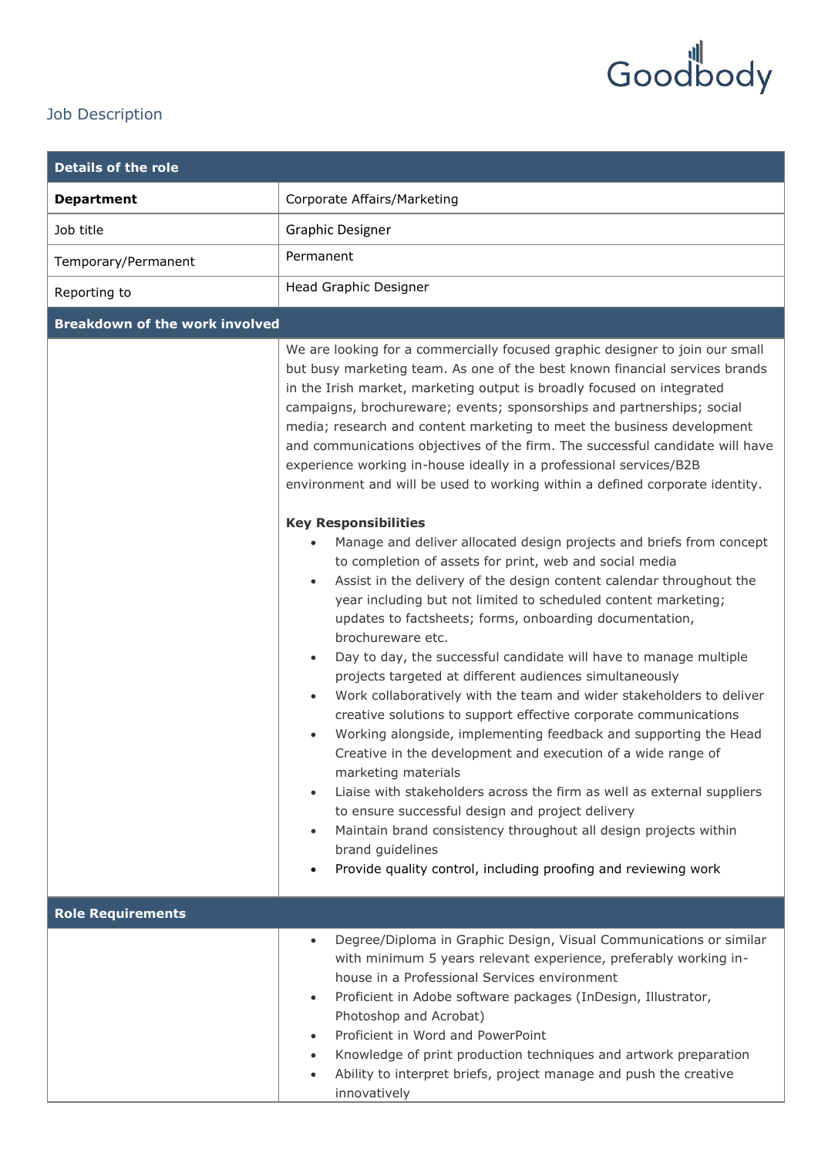## Goodbody

## Job Description

| <b>Details of the role</b>            |                                                                                                                                                                                                                                                                                                                                                                                                                                                                                                                                                                                                                                                                                                                                                                                                                                                                                                                                                                                                                                                                                                                                                                                                                                                                                                                                                                                                                                                                                                                                                                                                                                                                                                                                                                                                                              |
|---------------------------------------|------------------------------------------------------------------------------------------------------------------------------------------------------------------------------------------------------------------------------------------------------------------------------------------------------------------------------------------------------------------------------------------------------------------------------------------------------------------------------------------------------------------------------------------------------------------------------------------------------------------------------------------------------------------------------------------------------------------------------------------------------------------------------------------------------------------------------------------------------------------------------------------------------------------------------------------------------------------------------------------------------------------------------------------------------------------------------------------------------------------------------------------------------------------------------------------------------------------------------------------------------------------------------------------------------------------------------------------------------------------------------------------------------------------------------------------------------------------------------------------------------------------------------------------------------------------------------------------------------------------------------------------------------------------------------------------------------------------------------------------------------------------------------------------------------------------------------|
| <b>Department</b>                     | Corporate Affairs/Marketing                                                                                                                                                                                                                                                                                                                                                                                                                                                                                                                                                                                                                                                                                                                                                                                                                                                                                                                                                                                                                                                                                                                                                                                                                                                                                                                                                                                                                                                                                                                                                                                                                                                                                                                                                                                                  |
| Job title                             | <b>Graphic Designer</b>                                                                                                                                                                                                                                                                                                                                                                                                                                                                                                                                                                                                                                                                                                                                                                                                                                                                                                                                                                                                                                                                                                                                                                                                                                                                                                                                                                                                                                                                                                                                                                                                                                                                                                                                                                                                      |
| Temporary/Permanent                   | Permanent                                                                                                                                                                                                                                                                                                                                                                                                                                                                                                                                                                                                                                                                                                                                                                                                                                                                                                                                                                                                                                                                                                                                                                                                                                                                                                                                                                                                                                                                                                                                                                                                                                                                                                                                                                                                                    |
| Reporting to                          | Head Graphic Designer                                                                                                                                                                                                                                                                                                                                                                                                                                                                                                                                                                                                                                                                                                                                                                                                                                                                                                                                                                                                                                                                                                                                                                                                                                                                                                                                                                                                                                                                                                                                                                                                                                                                                                                                                                                                        |
| <b>Breakdown of the work involved</b> |                                                                                                                                                                                                                                                                                                                                                                                                                                                                                                                                                                                                                                                                                                                                                                                                                                                                                                                                                                                                                                                                                                                                                                                                                                                                                                                                                                                                                                                                                                                                                                                                                                                                                                                                                                                                                              |
|                                       | We are looking for a commercially focused graphic designer to join our small<br>but busy marketing team. As one of the best known financial services brands<br>in the Irish market, marketing output is broadly focused on integrated<br>campaigns, brochureware; events; sponsorships and partnerships; social<br>media; research and content marketing to meet the business development<br>and communications objectives of the firm. The successful candidate will have<br>experience working in-house ideally in a professional services/B2B<br>environment and will be used to working within a defined corporate identity.<br><b>Key Responsibilities</b><br>Manage and deliver allocated design projects and briefs from concept<br>to completion of assets for print, web and social media<br>Assist in the delivery of the design content calendar throughout the<br>$\bullet$<br>year including but not limited to scheduled content marketing;<br>updates to factsheets; forms, onboarding documentation,<br>brochureware etc.<br>Day to day, the successful candidate will have to manage multiple<br>projects targeted at different audiences simultaneously<br>Work collaboratively with the team and wider stakeholders to deliver<br>$\bullet$<br>creative solutions to support effective corporate communications<br>Working alongside, implementing feedback and supporting the Head<br>Creative in the development and execution of a wide range of<br>marketing materials<br>Liaise with stakeholders across the firm as well as external suppliers<br>$\bullet$<br>to ensure successful design and project delivery<br>Maintain brand consistency throughout all design projects within<br>$\bullet$<br>brand guidelines<br>Provide quality control, including proofing and reviewing work<br>$\bullet$ |
| <b>Role Requirements</b>              |                                                                                                                                                                                                                                                                                                                                                                                                                                                                                                                                                                                                                                                                                                                                                                                                                                                                                                                                                                                                                                                                                                                                                                                                                                                                                                                                                                                                                                                                                                                                                                                                                                                                                                                                                                                                                              |
|                                       | Degree/Diploma in Graphic Design, Visual Communications or similar<br>$\bullet$<br>with minimum 5 years relevant experience, preferably working in-<br>house in a Professional Services environment<br>Proficient in Adobe software packages (InDesign, Illustrator,<br>$\bullet$<br>Photoshop and Acrobat)<br>Proficient in Word and PowerPoint<br>$\bullet$<br>Knowledge of print production techniques and artwork preparation<br>$\bullet$<br>Ability to interpret briefs, project manage and push the creative<br>$\bullet$<br>innovatively                                                                                                                                                                                                                                                                                                                                                                                                                                                                                                                                                                                                                                                                                                                                                                                                                                                                                                                                                                                                                                                                                                                                                                                                                                                                             |